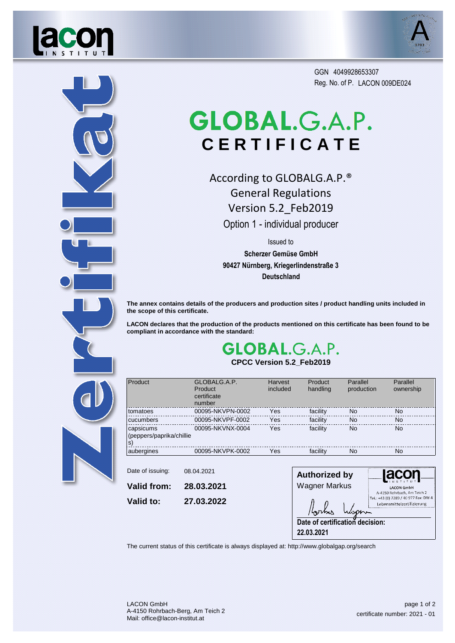



Reg. No. of P. LACON 009DE024 GGN 4049928653307

## GLOBAL.G.A.P. **C E R T I F I C A T E**

According to GLOBALG.A.P.® General Regulations Version 5.2\_Feb2019

Option 1 - individual producer

Issued to

**Scherzer Gemüse GmbH 90427 Nürnberg, Kriegerlindenstraße 3 Deutschland**

**The annex contains details of the producers and production sites / product handling units included in the scope of this certificate.**

**LACON declares that the production of the products mentioned on this certificate has been found to be compliant in accordance with the standard:**

## **GLOBAL.G.A.P. CPCC Version 5.2\_Feb2019**



| Product                                      | GLOBALG.A.P.<br>Product<br>certificate<br>number | Harvest<br>included | Product<br>handling | Parallel<br>production | Parallel<br>ownership |
|----------------------------------------------|--------------------------------------------------|---------------------|---------------------|------------------------|-----------------------|
| tomatoes                                     | 00095-NKVPN-0002                                 | Yes                 | facility            | No                     | <b>No</b>             |
| cucumbers                                    | 00095-NKVPF-0002                                 | Yes                 | facility            | <b>No</b>              | <b>No</b>             |
| capsicums<br>(peppers/paprika/chillie<br>ls) | 00095-NKVNX-0004                                 | Yes                 | facility            | <b>No</b>              | <b>No</b>             |
| aubergines                                   | 00095-NKVPK-0002                                 | Yes                 | facility            | <b>No</b>              | <b>No</b>             |
|                                              |                                                  |                     |                     |                        |                       |

**Valid to: 28.03.2021 27.03.2022 Valid from:** Date of issuing: 08.04.2021

**Authorized by** lacor Wagner Markus A-4150 Rohrbach, Am Teich 2<br>Tel.: +43 (0) 7289 / 40 977 Fax: DW 4 Lebensmittelzertifizierung **Date of certification decision: 22.03.2021**

The current status of this certificate is always displayed at: http://www.globalgap.org/search